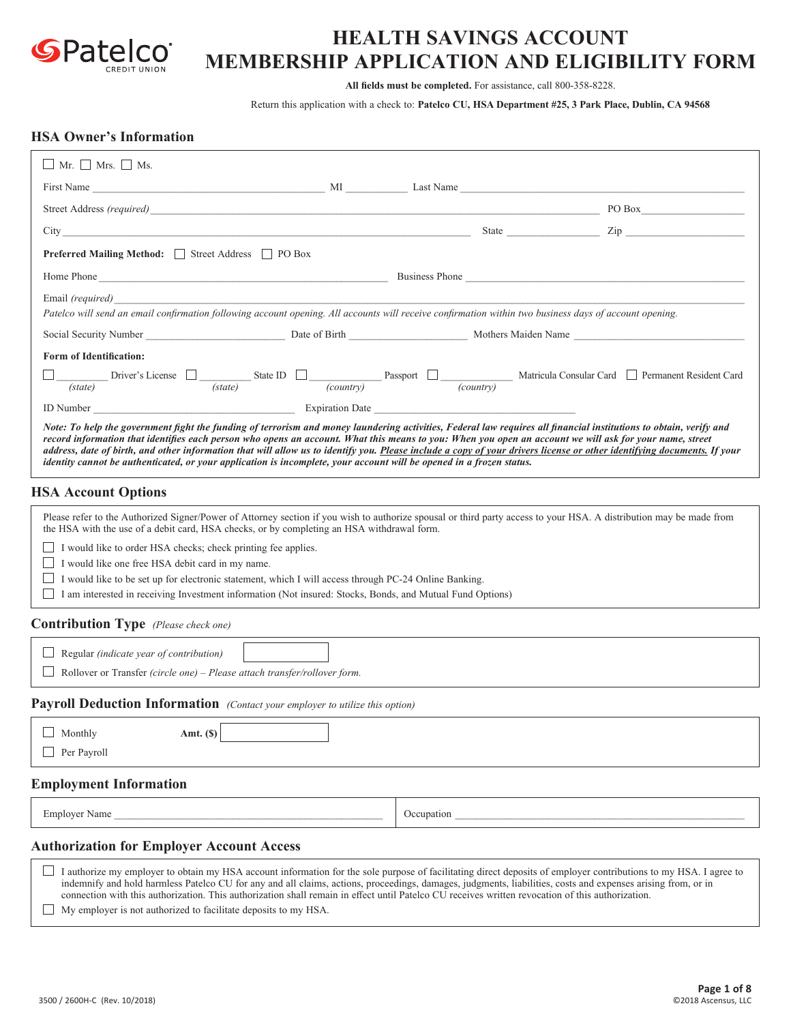

# **HEALTH SAVINGS ACCOUNT MEMBERSHIP APPLICATION AND ELIGIBILITY FORM**

**All fields must be completed.** For assistance, call 800-358-8228.

Return this application with a check to: **Patelco CU, HSA Department #25, 3 Park Place, Dublin, CA 94568**

## **HSA Owner's Information**

| $\Box$ Mr. $\Box$ Mrs. $\Box$ Ms.                                                                                                                                                                                                                                                                                                                                                                                                                                                                                                                                                                                                |            |                                                                                                                                                                                              |
|----------------------------------------------------------------------------------------------------------------------------------------------------------------------------------------------------------------------------------------------------------------------------------------------------------------------------------------------------------------------------------------------------------------------------------------------------------------------------------------------------------------------------------------------------------------------------------------------------------------------------------|------------|----------------------------------------------------------------------------------------------------------------------------------------------------------------------------------------------|
| First Name Last Name Last Name Last Name Last Name Last Name Last Name Last Name Last Name Last Name Last Name Last Name Last Name Last Name Last Name Last Name Last Name Last Name Last Name Last Name Last Name Last Name L                                                                                                                                                                                                                                                                                                                                                                                                   |            |                                                                                                                                                                                              |
| Street Address (required) PO Box                                                                                                                                                                                                                                                                                                                                                                                                                                                                                                                                                                                                 |            |                                                                                                                                                                                              |
| City of the contract of the contract of the contract of the contract of the contract of the contract of the contract of the contract of the contract of the contract of the contract of the contract of the contract of the co                                                                                                                                                                                                                                                                                                                                                                                                   |            | State <u>Zip</u>                                                                                                                                                                             |
| <b>Preferred Mailing Method:</b> Street Address □ PO Box                                                                                                                                                                                                                                                                                                                                                                                                                                                                                                                                                                         |            |                                                                                                                                                                                              |
| Home Phone Changes Changes Changes Changes Changes Changes Changes Changes Changes Changes Changes Changes Changes Changes Changes Changes Changes Changes Changes Changes Changes Changes Changes Changes Changes Changes Cha                                                                                                                                                                                                                                                                                                                                                                                                   |            |                                                                                                                                                                                              |
| Email (required)                                                                                                                                                                                                                                                                                                                                                                                                                                                                                                                                                                                                                 |            |                                                                                                                                                                                              |
| Patelco will send an email confirmation following account opening. All accounts will receive confirmation within two business days of account opening.                                                                                                                                                                                                                                                                                                                                                                                                                                                                           |            |                                                                                                                                                                                              |
| Social Security Number 2003 Contact Contact Contact Contact Contact Contact Contact Contact Contact Contact Contact Contact Contact Contact Contact Contact Contact Contact Contact Contact Contact Contact Contact Contact Co                                                                                                                                                                                                                                                                                                                                                                                                   |            |                                                                                                                                                                                              |
| <b>Form of Identification:</b>                                                                                                                                                                                                                                                                                                                                                                                                                                                                                                                                                                                                   |            |                                                                                                                                                                                              |
|                                                                                                                                                                                                                                                                                                                                                                                                                                                                                                                                                                                                                                  |            | $\frac{S_{\text{t}}(state)}{s_{\text{t}}(state)}$ Driver's License $\Box$ (state) State ID $\Box$ (country) Passport $\Box$ (country) Matricula Consular Card $\Box$ Permanent Resident Card |
| ID Number Expiration Date Expiration Date                                                                                                                                                                                                                                                                                                                                                                                                                                                                                                                                                                                        |            |                                                                                                                                                                                              |
| Note: To help the government fight the funding of terrorism and money laundering activities, Federal law requires all financial institutions to obtain, verify and<br>record information that identifies each person who opens an account. What this means to you: When you open an account we will ask for your name, street<br>address, date of birth, and other information that will allow us to identify you. Please include a copy of your drivers license or other identifying documents. If your<br>identity cannot be authenticated, or your application is incomplete, your account will be opened in a frozen status. |            |                                                                                                                                                                                              |
| <b>HSA Account Options</b>                                                                                                                                                                                                                                                                                                                                                                                                                                                                                                                                                                                                       |            |                                                                                                                                                                                              |
| Please refer to the Authorized Signer/Power of Attorney section if you wish to authorize spousal or third party access to your HSA. A distribution may be made from<br>the HSA with the use of a debit card, HSA checks, or by completing an HSA withdrawal form.<br>$\Box$ I would like to order HSA checks; check printing fee applies.<br>I would like one free HSA debit card in my name.<br>I would like to be set up for electronic statement, which I will access through PC-24 Online Banking.<br>I am interested in receiving Investment information (Not insured: Stocks, Bonds, and Mutual Fund Options)              |            |                                                                                                                                                                                              |
| <b>Contribution Type</b> (Please check one)                                                                                                                                                                                                                                                                                                                                                                                                                                                                                                                                                                                      |            |                                                                                                                                                                                              |
| $\Box$ Regular (indicate year of contribution)<br>Rollover or Transfer (circle one) - Please attach transfer/rollover form.                                                                                                                                                                                                                                                                                                                                                                                                                                                                                                      |            |                                                                                                                                                                                              |
| <b>Payroll Deduction Information</b> (Contact your employer to utilize this option)                                                                                                                                                                                                                                                                                                                                                                                                                                                                                                                                              |            |                                                                                                                                                                                              |
| Monthly<br>Amt. $(S)$<br>Per Payroll                                                                                                                                                                                                                                                                                                                                                                                                                                                                                                                                                                                             |            |                                                                                                                                                                                              |
| <b>Employment Information</b>                                                                                                                                                                                                                                                                                                                                                                                                                                                                                                                                                                                                    |            |                                                                                                                                                                                              |
| Employer Name                                                                                                                                                                                                                                                                                                                                                                                                                                                                                                                                                                                                                    | Occupation |                                                                                                                                                                                              |
| <b>Authorization for Employer Account Access</b>                                                                                                                                                                                                                                                                                                                                                                                                                                                                                                                                                                                 |            |                                                                                                                                                                                              |
| I authorize my employer to obtain my HSA account information for the sole purpose of facilitating direct deposits of employer contributions to my HSA. I agree to<br>indemnify and hold harmless Patelco CU for any and all claims, actions, proceedings, damages, judgments, liabilities, costs and expenses arising from, or in<br>connection with this authorization. This authorization shall remain in effect until Patelco CU receives written revocation of this authorization.<br>My employer is not authorized to facilitate deposits to my HSA.                                                                        |            |                                                                                                                                                                                              |
|                                                                                                                                                                                                                                                                                                                                                                                                                                                                                                                                                                                                                                  |            |                                                                                                                                                                                              |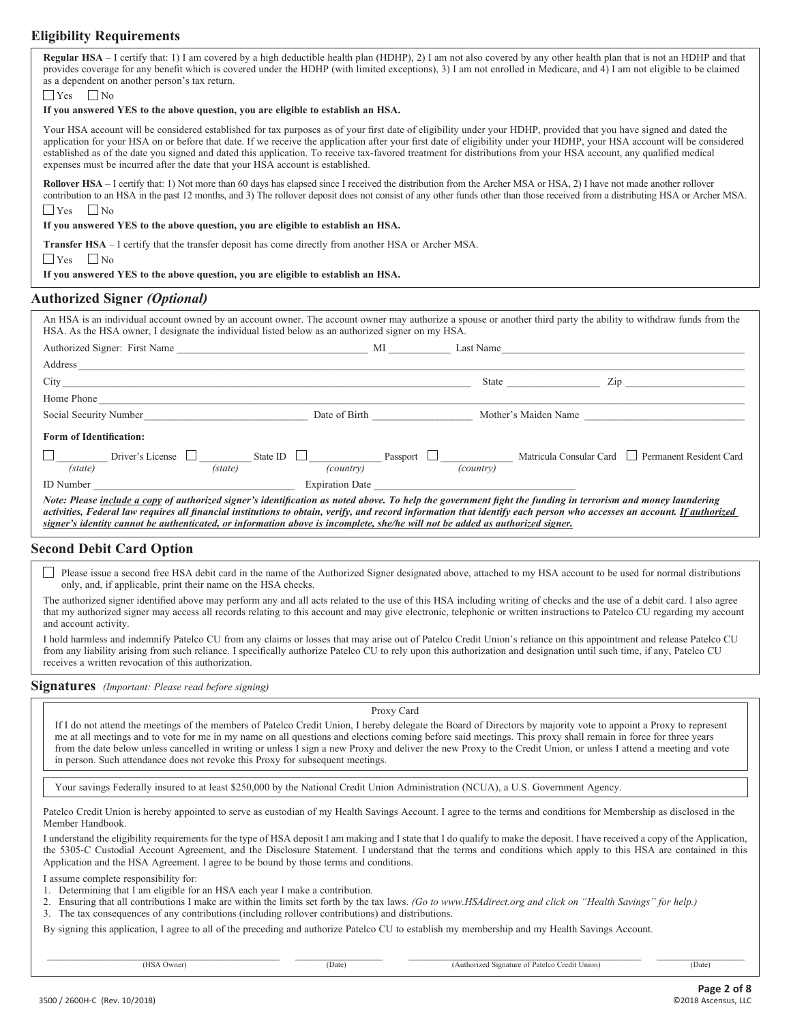## **Eligibility Requirements**

| <b>Regular HSA</b> – I certify that: 1) I am covered by a high deductible health plan (HDHP), 2) I am not also covered by any other health plan that is not an HDHP and that |
|------------------------------------------------------------------------------------------------------------------------------------------------------------------------------|
| provides coverage for any benefit which is covered under the HDHP (with limited exceptions), 3) I am not enrolled in Medicare, and 4) I am not eligible to be claimed        |
| as a dependent on another person's tax return.                                                                                                                               |
|                                                                                                                                                                              |

 $\Box$  Yes  $\Box$  No

#### **If you answered YES to the above question, you are eligible to establish an HSA.**

Your HSA account will be considered established for tax purposes as of your first date of eligibility under your HDHP, provided that you have signed and dated the application for your HSA on or before that date. If we receive the application after your first date of eligibility under your HDHP, your HSA account will be considered established as of the date you signed and dated this application. To receive tax-favored treatment for distributions from your HSA account, any qualified medical expenses must be incurred after the date that your HSA account is established.

Rollover HSA – I certify that: 1) Not more than 60 days has elapsed since I received the distribution from the Archer MSA or HSA, 2) I have not made another rollover contribution to an HSA in the past 12 months, and 3) The rollover deposit does not consist of any other funds other than those received from a distributing HSA or Archer MSA.  $\Box$  Yes

#### **If you answered YES to the above question, you are eligible to establish an HSA.**

**Transfer HSA** – I certify that the transfer deposit has come directly from another HSA or Archer MSA.

 $\Box$  Yes  $\Box$  No

**If you answered YES to the above question, you are eligible to establish an HSA.**

#### **Authorized Signer** *(Optional)*

| HSA. As the HSA owner, I designate the individual listed below as an authorized signer on my HSA.                             |                                                                                  |  |                      |                                                                                                                                                                                                                                                                                                                                                                                                                                                                 |
|-------------------------------------------------------------------------------------------------------------------------------|----------------------------------------------------------------------------------|--|----------------------|-----------------------------------------------------------------------------------------------------------------------------------------------------------------------------------------------------------------------------------------------------------------------------------------------------------------------------------------------------------------------------------------------------------------------------------------------------------------|
|                                                                                                                               |                                                                                  |  |                      |                                                                                                                                                                                                                                                                                                                                                                                                                                                                 |
| City                                                                                                                          |                                                                                  |  |                      | State and the state of the state of the state of the state of the state of the state of the state of the state of the state of the state of the state of the state of the state of the state of the state of the state of the<br>Zip and the same state of the state of the state of the state of the state of the state of the state of the state of the state of the state of the state of the state of the state of the state of the state of the state of t |
| Home Phone                                                                                                                    |                                                                                  |  |                      |                                                                                                                                                                                                                                                                                                                                                                                                                                                                 |
|                                                                                                                               | Date of Birth <b>Exercise 2.2</b><br>Social Security Number<br><u>Leadenborn</u> |  | Mother's Maiden Name |                                                                                                                                                                                                                                                                                                                                                                                                                                                                 |
| <b>Form of Identification:</b>                                                                                                |                                                                                  |  |                      |                                                                                                                                                                                                                                                                                                                                                                                                                                                                 |
|                                                                                                                               |                                                                                  |  |                      | $\Box$ Driver's License $\Box$ (state) State ID $\Box$ Passport $\Box$ Desember 2014 (country) Matricula Consular Card $\Box$ Permanent Resident Card                                                                                                                                                                                                                                                                                                           |
|                                                                                                                               |                                                                                  |  |                      |                                                                                                                                                                                                                                                                                                                                                                                                                                                                 |
| signer's identity cannot be authenticated, or information above is incomplete, she/he will not be added as authorized signer. |                                                                                  |  |                      | Note: Please include a copy of authorized signer's identification as noted above. To help the government fight the funding in terrorism and money laundering<br>activities, Federal law requires all financial institutions to obtain, verify, and record information that identify each person who accesses an account. If authorized                                                                                                                          |

#### **Second Debit Card Option**

 $\Box$  Please issue a second free HSA debit card in the name of the Authorized Signer designated above, attached to my HSA account to be used for normal distributions only, and, if applicable, print their name on the HSA checks.

The authorized signer identified above may perform any and all acts related to the use of this HSA including writing of checks and the use of a debit card. I also agree that my authorized signer may access all records relating to this account and may give electronic, telephonic or written instructions to Patelco CU regarding my account and account activity.

I hold harmless and indemnify Patelco CU from any claims or losses that may arise out of Patelco Credit Union's reliance on this appointment and release Patelco CU from any liability arising from such reliance. I specifically authorize Patelco CU to rely upon this authorization and designation until such time, if any, Patelco CU receives a written revocation of this authorization.

**Signatures** *(Important: Please read before signing)*

Proxy Card

If I do not attend the meetings of the members of Patelco Credit Union, I hereby delegate the Board of Directors by majority vote to appoint a Proxy to represent me at all meetings and to vote for me in my name on all questions and elections coming before said meetings. This proxy shall remain in force for three years from the date below unless cancelled in writing or unless I sign a new Proxy and deliver the new Proxy to the Credit Union, or unless I attend a meeting and vote in person. Such attendance does not revoke this Proxy for subsequent meetings.

Your savings Federally insured to at least \$250,000 by the National Credit Union Administration (NCUA), a U.S. Government Agency.

Patelco Credit Union is hereby appointed to serve as custodian of my Health Savings Account. I agree to the terms and conditions for Membership as disclosed in the Member Handbook.

I understand the eligibility requirements for the type of HSA deposit I am making and I state that I do qualify to make the deposit. I have received a copy of the Application, the 5305-C Custodial Account Agreement, and the Disclosure Statement. I understand that the terms and conditions which apply to this HSA are contained in this Application and the HSA Agreement. I agree to be bound by those terms and conditions.

I assume complete responsibility for:

1. Determining that I am eligible for an HSA each year I make a contribution.

2. Ensuring that all contributions I make are within the limits set forth by the tax laws. *(Go to www.HSAdirect.org and click on "Health Savings" for help.)*

3. The tax consequences of any contributions (including rollover contributions) and distributions.

By signing this application, I agree to all of the preceding and authorize Patelco CU to establish my membership and my Health Savings Account.

 $\_$  ,  $\_$  ,  $\_$  ,  $\_$  ,  $\_$  ,  $\_$  ,  $\_$  ,  $\_$  ,  $\_$  ,  $\_$  ,  $\_$  ,  $\_$  ,  $\_$  ,  $\_$  ,  $\_$  ,  $\_$  ,  $\_$  ,  $\_$  ,  $\_$  ,  $\_$  ,  $\_$  ,  $\_$  ,  $\_$  ,  $\_$  ,  $\_$  ,  $\_$  ,  $\_$  ,  $\_$  ,  $\_$  ,  $\_$  ,  $\_$  ,  $\_$  ,  $\_$  ,  $\_$  ,  $\_$  ,  $\_$  ,  $\_$  , (HSA Owner) (Date) (Date) (Authorized Signature of Patelco Credit Union) (Date)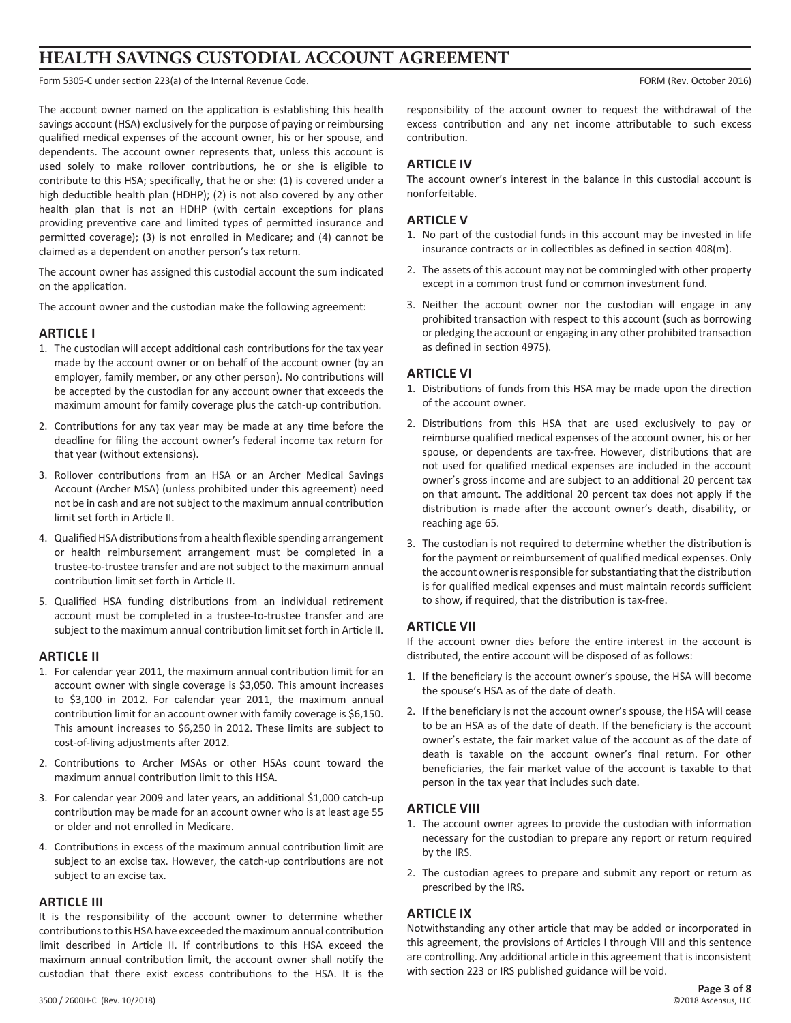# **HEALTH SAVINGS CUSTODIAL ACCOUNT AGREEMENT**

Form 5305-C under section 223(a) of the Internal Revenue Code. The Internal Revenue Code. FORM (Rev. October 2016)

The account owner named on the application is establishing this health savings account (HSA) exclusively for the purpose of paying or reimbursing qualified medical expenses of the account owner, his or her spouse, and dependents. The account owner represents that, unless this account is used solely to make rollover contributions, he or she is eligible to contribute to this HSA; specifically, that he or she: (1) is covered under a high deductible health plan (HDHP); (2) is not also covered by any other health plan that is not an HDHP (with certain exceptions for plans providing preventive care and limited types of permitted insurance and permitted coverage); (3) is not enrolled in Medicare; and (4) cannot be claimed as a dependent on another person's tax return.

The account owner has assigned this custodial account the sum indicated on the application.

The account owner and the custodian make the following agreement:

#### **ARTICLE I**

- 1. The custodian will accept additional cash contributions for the tax year made by the account owner or on behalf of the account owner (by an employer, family member, or any other person). No contributions will be accepted by the custodian for any account owner that exceeds the maximum amount for family coverage plus the catch-up contribution.
- 2. Contributions for any tax year may be made at any time before the deadline for filing the account owner's federal income tax return for that year (without extensions).
- 3. Rollover contributions from an HSA or an Archer Medical Savings Account (Archer MSA) (unless prohibited under this agreement) need not be in cash and are not subject to the maximum annual contribution limit set forth in Article II.
- 4. Qualified HSA distributions from a health flexible spending arrangement or health reimbursement arrangement must be completed in a trustee-to-trustee transfer and are not subject to the maximum annual contribution limit set forth in Article II.
- 5. Qualified HSA funding distributions from an individual retirement account must be completed in a trustee-to-trustee transfer and are subject to the maximum annual contribution limit set forth in Article II.

#### **ARTICLE II**

- 1. For calendar year 2011, the maximum annual contribution limit for an account owner with single coverage is \$3,050. This amount increases to \$3,100 in 2012. For calendar year 2011, the maximum annual contribution limit for an account owner with family coverage is \$6,150. This amount increases to \$6,250 in 2012. These limits are subject to cost-of-living adjustments after 2012.
- 2. Contributions to Archer MSAs or other HSAs count toward the maximum annual contribution limit to this HSA.
- 3. For calendar year 2009 and later years, an additional \$1,000 catch-up contribution may be made for an account owner who is at least age 55 or older and not enrolled in Medicare.
- 4. Contributions in excess of the maximum annual contribution limit are subject to an excise tax. However, the catch-up contributions are not subject to an excise tax.

#### **ARTICLE III**

It is the responsibility of the account owner to determine whether contributions to this HSA have exceeded the maximum annual contribution limit described in Article II. If contributions to this HSA exceed the maximum annual contribution limit, the account owner shall notify the custodian that there exist excess contributions to the HSA. It is the

responsibility of the account owner to request the withdrawal of the excess contribution and any net income attributable to such excess contribution.

#### **ARTICLE IV**

The account owner's interest in the balance in this custodial account is nonforfeitable.

#### **ARTICLE V**

- 1. No part of the custodial funds in this account may be invested in life insurance contracts or in collectibles as defined in section 408(m).
- 2. The assets of this account may not be commingled with other property except in a common trust fund or common investment fund.
- 3. Neither the account owner nor the custodian will engage in any prohibited transaction with respect to this account (such as borrowing or pledging the account or engaging in any other prohibited transaction as defined in section 4975).

### **ARTICLE VI**

- 1. Distributions of funds from this HSA may be made upon the direction of the account owner.
- 2. Distributions from this HSA that are used exclusively to pay or reimburse qualified medical expenses of the account owner, his or her spouse, or dependents are tax-free. However, distributions that are not used for qualified medical expenses are included in the account owner's gross income and are subject to an additional 20 percent tax on that amount. The additional 20 percent tax does not apply if the distribution is made after the account owner's death, disability, or reaching age 65.
- 3. The custodian is not required to determine whether the distribution is for the payment or reimbursement of qualified medical expenses. Only the account owner is responsible for substantiating that the distribution is for qualified medical expenses and must maintain records sufficient to show, if required, that the distribution is tax-free.

### **ARTICLE VII**

If the account owner dies before the entire interest in the account is distributed, the entire account will be disposed of as follows:

- 1. If the beneficiary is the account owner's spouse, the HSA will become the spouse's HSA as of the date of death.
- 2. If the beneficiary is not the account owner's spouse, the HSA will cease to be an HSA as of the date of death. If the beneficiary is the account owner's estate, the fair market value of the account as of the date of death is taxable on the account owner's final return. For other beneficiaries, the fair market value of the account is taxable to that person in the tax year that includes such date.

#### **ARTICLE VIII**

- 1. The account owner agrees to provide the custodian with information necessary for the custodian to prepare any report or return required by the IRS.
- 2. The custodian agrees to prepare and submit any report or return as prescribed by the IRS.

### **ARTICLE IX**

Notwithstanding any other article that may be added or incorporated in this agreement, the provisions of Articles I through VIII and this sentence are controlling. Any additional article in this agreement that is inconsistent with section 223 or IRS published guidance will be void.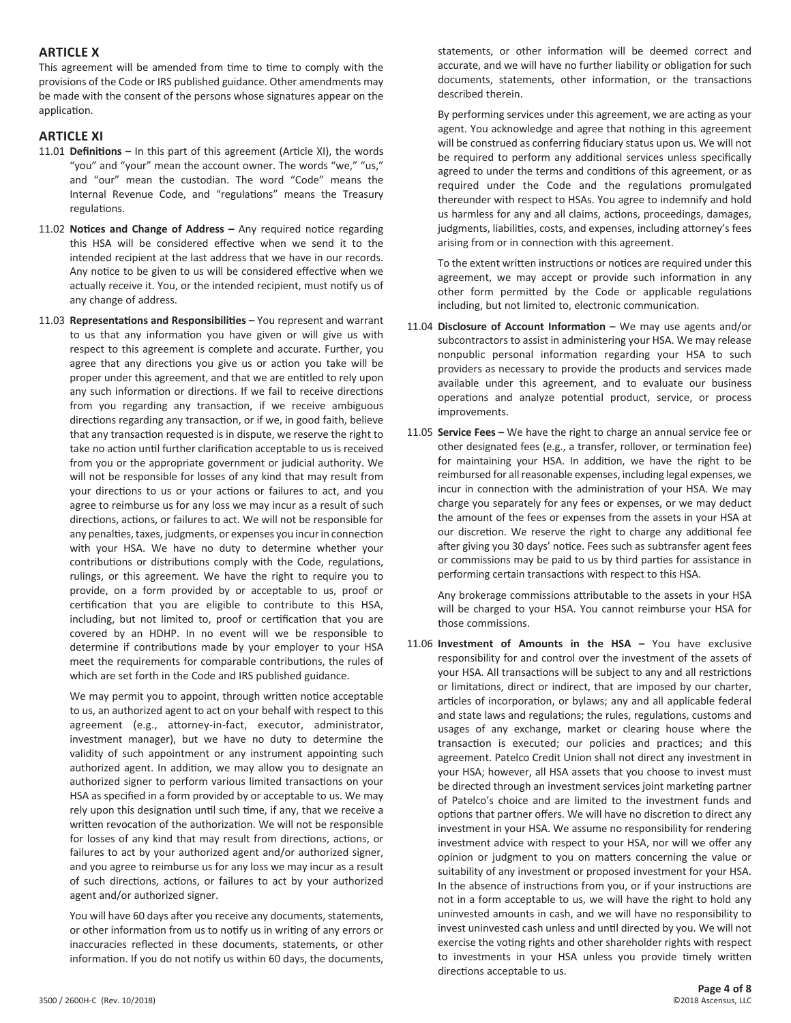#### **ARTICLE X**

This agreement will be amended from time to time to comply with the provisions of the Code or IRS published guidance. Other amendments may be made with the consent of the persons whose signatures appear on the application.

## **ARTICLE XI**

- 11.01 **Definitions –** In this part of this agreement (Article XI), the words "you" and "your" mean the account owner. The words "we," "us," and "our" mean the custodian. The word "Code" means the Internal Revenue Code, and "regulations" means the Treasury regulations.
- 11.02 **Notices and Change of Address –** Any required notice regarding this HSA will be considered effective when we send it to the intended recipient at the last address that we have in our records. Any notice to be given to us will be considered effective when we actually receive it. You, or the intended recipient, must notify us of any change of address.
- 11.03 **Representations and Responsibilities –** You represent and warrant to us that any information you have given or will give us with respect to this agreement is complete and accurate. Further, you agree that any directions you give us or action you take will be proper under this agreement, and that we are entitled to rely upon any such information or directions. If we fail to receive directions from you regarding any transaction, if we receive ambiguous directions regarding any transaction, or if we, in good faith, believe that any transaction requested is in dispute, we reserve the right to take no action until further clarification acceptable to us is received from you or the appropriate government or judicial authority. We will not be responsible for losses of any kind that may result from your directions to us or your actions or failures to act, and you agree to reimburse us for any loss we may incur as a result of such directions, actions, or failures to act. We will not be responsible for any penalties, taxes, judgments, or expenses you incur in connection with your HSA. We have no duty to determine whether your contributions or distributions comply with the Code, regulations, rulings, or this agreement. We have the right to require you to provide, on a form provided by or acceptable to us, proof or certification that you are eligible to contribute to this HSA, including, but not limited to, proof or certification that you are covered by an HDHP. In no event will we be responsible to determine if contributions made by your employer to your HSA meet the requirements for comparable contributions, the rules of which are set forth in the Code and IRS published guidance.

We may permit you to appoint, through written notice acceptable to us, an authorized agent to act on your behalf with respect to this agreement (e.g., attorney-in-fact, executor, administrator, investment manager), but we have no duty to determine the validity of such appointment or any instrument appointing such authorized agent. In addition, we may allow you to designate an authorized signer to perform various limited transactions on your HSA as specified in a form provided by or acceptable to us. We may rely upon this designation until such time, if any, that we receive a written revocation of the authorization. We will not be responsible for losses of any kind that may result from directions, actions, or failures to act by your authorized agent and/or authorized signer, and you agree to reimburse us for any loss we may incur as a result of such directions, actions, or failures to act by your authorized agent and/or authorized signer.

You will have 60 days after you receive any documents, statements, or other information from us to notify us in writing of any errors or inaccuracies reflected in these documents, statements, or other information. If you do not notify us within 60 days, the documents,

statements, or other information will be deemed correct and accurate, and we will have no further liability or obligation for such documents, statements, other information, or the transactions described therein.

By performing services under this agreement, we are acting as your agent. You acknowledge and agree that nothing in this agreement will be construed as conferring fiduciary status upon us. We will not be required to perform any additional services unless specifically agreed to under the terms and conditions of this agreement, or as required under the Code and the regulations promulgated thereunder with respect to HSAs. You agree to indemnify and hold us harmless for any and all claims, actions, proceedings, damages, judgments, liabilities, costs, and expenses, including attorney's fees arising from or in connection with this agreement.

To the extent written instructions or notices are required under this agreement, we may accept or provide such information in any other form permitted by the Code or applicable regulations including, but not limited to, electronic communication.

- 11.04 **Disclosure of Account Information –** We may use agents and/or subcontractors to assist in administering your HSA. We may release nonpublic personal information regarding your HSA to such providers as necessary to provide the products and services made available under this agreement, and to evaluate our business operations and analyze potential product, service, or process improvements.
- 11.05 **Service Fees –** We have the right to charge an annual service fee or other designated fees (e.g., a transfer, rollover, or termination fee) for maintaining your HSA. In addition, we have the right to be reimbursed for all reasonable expenses, including legal expenses, we incur in connection with the administration of your HSA. We may charge you separately for any fees or expenses, or we may deduct the amount of the fees or expenses from the assets in your HSA at our discretion. We reserve the right to charge any additional fee after giving you 30 days' notice. Fees such as subtransfer agent fees or commissions may be paid to us by third parties for assistance in performing certain transactions with respect to this HSA.

Any brokerage commissions attributable to the assets in your HSA will be charged to your HSA. You cannot reimburse your HSA for those commissions.

11.06 **Investment of Amounts in the HSA –** You have exclusive responsibility for and control over the investment of the assets of your HSA. All transactions will be subject to any and all restrictions or limitations, direct or indirect, that are imposed by our charter, articles of incorporation, or bylaws; any and all applicable federal and state laws and regulations; the rules, regulations, customs and usages of any exchange, market or clearing house where the transaction is executed; our policies and practices; and this agreement. Patelco Credit Union shall not direct any investment in your HSA; however, all HSA assets that you choose to invest must be directed through an investment services joint marketing partner of Patelco's choice and are limited to the investment funds and options that partner offers. We will have no discretion to direct any investment in your HSA. We assume no responsibility for rendering investment advice with respect to your HSA, nor will we offer any opinion or judgment to you on matters concerning the value or suitability of any investment or proposed investment for your HSA. In the absence of instructions from you, or if your instructions are not in a form acceptable to us, we will have the right to hold any uninvested amounts in cash, and we will have no responsibility to invest uninvested cash unless and until directed by you. We will not exercise the voting rights and other shareholder rights with respect to investments in your HSA unless you provide timely written directions acceptable to us.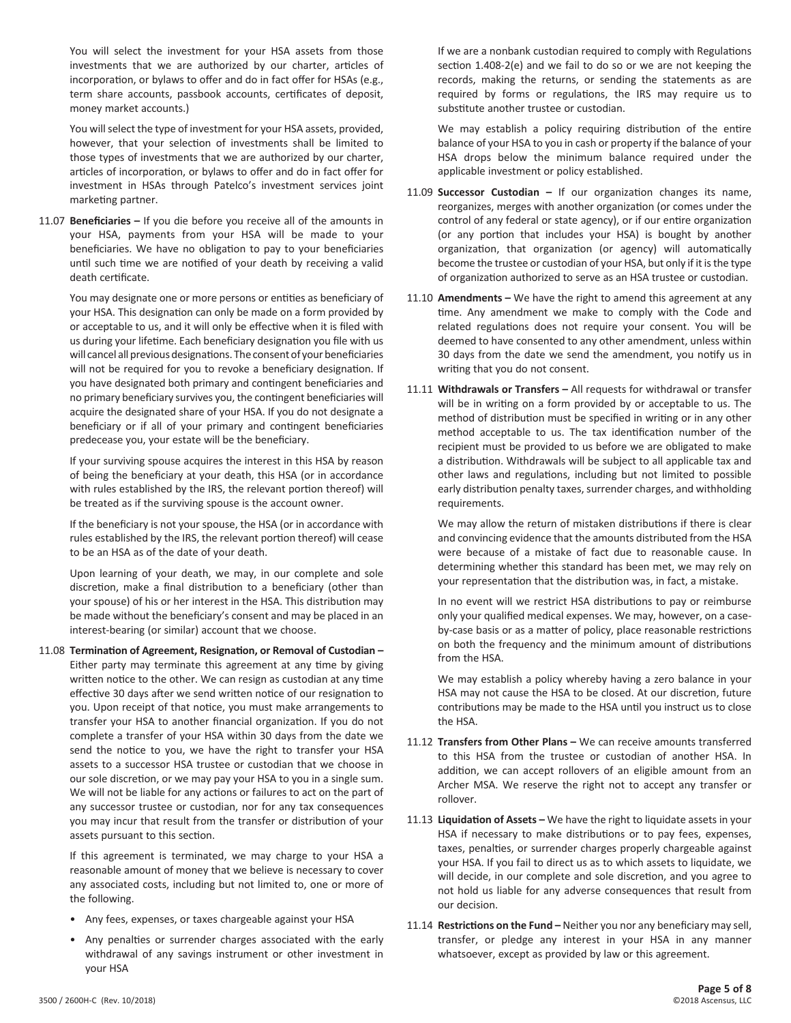You will select the investment for your HSA assets from those investments that we are authorized by our charter, articles of incorporation, or bylaws to offer and do in fact offer for HSAs (e.g., term share accounts, passbook accounts, certificates of deposit, money market accounts.)

You will select the type of investment for your HSA assets, provided, however, that your selection of investments shall be limited to those types of investments that we are authorized by our charter, articles of incorporation, or bylaws to offer and do in fact offer for investment in HSAs through Patelco's investment services joint marketing partner.

11.07 **Beneficiaries –** If you die before you receive all of the amounts in your HSA, payments from your HSA will be made to your beneficiaries. We have no obligation to pay to your beneficiaries until such time we are notified of your death by receiving a valid death certificate.

You may designate one or more persons or entities as beneficiary of your HSA. This designation can only be made on a form provided by or acceptable to us, and it will only be effective when it is filed with us during your lifetime. Each beneficiary designation you file with us will cancel all previous designations. The consent of your beneficiaries will not be required for you to revoke a beneficiary designation. If you have designated both primary and contingent beneficiaries and no primary beneficiary survives you, the contingent beneficiaries will acquire the designated share of your HSA. If you do not designate a beneficiary or if all of your primary and contingent beneficiaries predecease you, your estate will be the beneficiary.

If your surviving spouse acquires the interest in this HSA by reason of being the beneficiary at your death, this HSA (or in accordance with rules established by the IRS, the relevant portion thereof) will be treated as if the surviving spouse is the account owner.

If the beneficiary is not your spouse, the HSA (or in accordance with rules established by the IRS, the relevant portion thereof) will cease to be an HSA as of the date of your death.

Upon learning of your death, we may, in our complete and sole discretion, make a final distribution to a beneficiary (other than your spouse) of his or her interest in the HSA. This distribution may be made without the beneficiary's consent and may be placed in an interest-bearing (or similar) account that we choose.

11.08 **Termination of Agreement, Resignation, or Removal of Custodian –**  Either party may terminate this agreement at any time by giving written notice to the other. We can resign as custodian at any time effective 30 days after we send written notice of our resignation to you. Upon receipt of that notice, you must make arrangements to transfer your HSA to another financial organization. If you do not complete a transfer of your HSA within 30 days from the date we send the notice to you, we have the right to transfer your HSA assets to a successor HSA trustee or custodian that we choose in our sole discretion, or we may pay your HSA to you in a single sum. We will not be liable for any actions or failures to act on the part of any successor trustee or custodian, nor for any tax consequences you may incur that result from the transfer or distribution of your assets pursuant to this section.

If this agreement is terminated, we may charge to your HSA a reasonable amount of money that we believe is necessary to cover any associated costs, including but not limited to, one or more of the following.

- Any fees, expenses, or taxes chargeable against your HSA
- Any penalties or surrender charges associated with the early withdrawal of any savings instrument or other investment in your HSA

If we are a nonbank custodian required to comply with Regulations section 1.408-2(e) and we fail to do so or we are not keeping the records, making the returns, or sending the statements as are required by forms or regulations, the IRS may require us to substitute another trustee or custodian.

We may establish a policy requiring distribution of the entire balance of your HSA to you in cash or property if the balance of your HSA drops below the minimum balance required under the applicable investment or policy established.

- 11.09 **Successor Custodian –** If our organization changes its name, reorganizes, merges with another organization (or comes under the control of any federal or state agency), or if our entire organization (or any portion that includes your HSA) is bought by another organization, that organization (or agency) will automatically become the trustee or custodian of your HSA, but only if it is the type of organization authorized to serve as an HSA trustee or custodian.
- 11.10 **Amendments –** We have the right to amend this agreement at any time. Any amendment we make to comply with the Code and related regulations does not require your consent. You will be deemed to have consented to any other amendment, unless within 30 days from the date we send the amendment, you notify us in writing that you do not consent.
- 11.11 **Withdrawals or Transfers –** All requests for withdrawal or transfer will be in writing on a form provided by or acceptable to us. The method of distribution must be specified in writing or in any other method acceptable to us. The tax identification number of the recipient must be provided to us before we are obligated to make a distribution. Withdrawals will be subject to all applicable tax and other laws and regulations, including but not limited to possible early distribution penalty taxes, surrender charges, and withholding requirements.

We may allow the return of mistaken distributions if there is clear and convincing evidence that the amounts distributed from the HSA were because of a mistake of fact due to reasonable cause. In determining whether this standard has been met, we may rely on your representation that the distribution was, in fact, a mistake.

In no event will we restrict HSA distributions to pay or reimburse only your qualified medical expenses. We may, however, on a caseby-case basis or as a matter of policy, place reasonable restrictions on both the frequency and the minimum amount of distributions from the HSA.

We may establish a policy whereby having a zero balance in your HSA may not cause the HSA to be closed. At our discretion, future contributions may be made to the HSA until you instruct us to close the HSA.

- 11.12 **Transfers from Other Plans –** We can receive amounts transferred to this HSA from the trustee or custodian of another HSA. In addition, we can accept rollovers of an eligible amount from an Archer MSA. We reserve the right not to accept any transfer or rollover.
- 11.13 **Liquidation of Assets –** We have the right to liquidate assets in your HSA if necessary to make distributions or to pay fees, expenses, taxes, penalties, or surrender charges properly chargeable against your HSA. If you fail to direct us as to which assets to liquidate, we will decide, in our complete and sole discretion, and you agree to not hold us liable for any adverse consequences that result from our decision.
- 11.14 **Restrictions on the Fund –** Neither you nor any beneficiary may sell, transfer, or pledge any interest in your HSA in any manner whatsoever, except as provided by law or this agreement.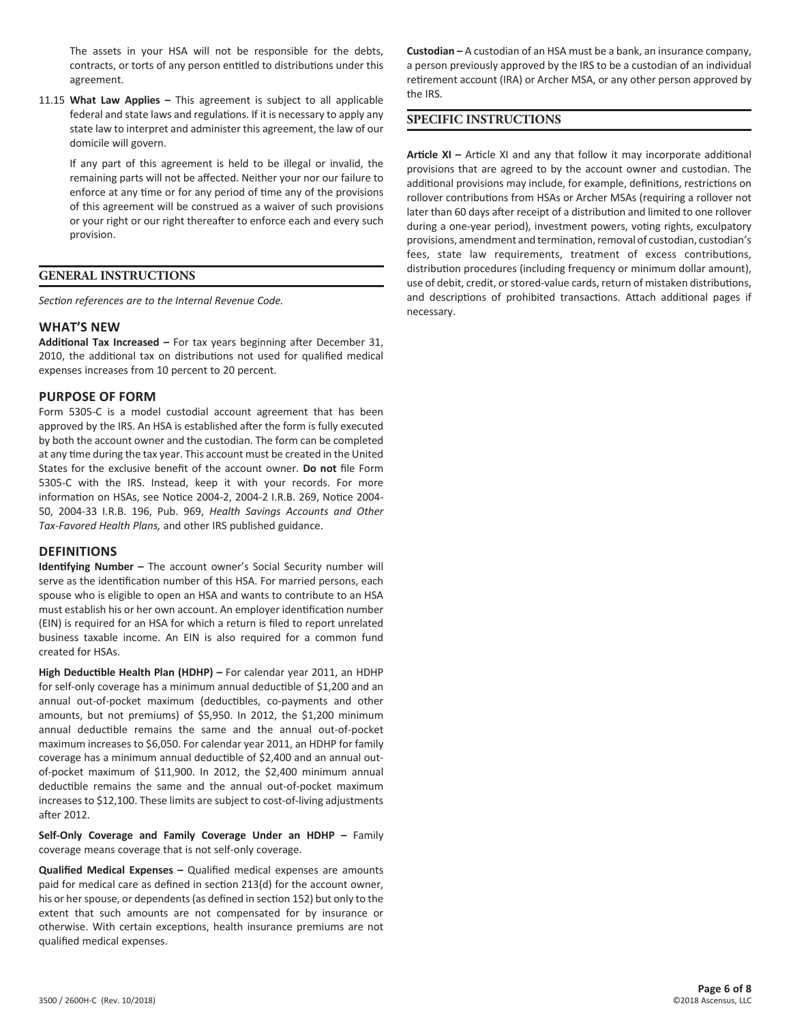The assets in your HSA will not be responsible for the debts, contracts, or torts of any person entitled to distributions under this agreement.

11.15 **What Law Applies –** This agreement is subject to all applicable federal and state laws and regulations. If it is necessary to apply any state law to interpret and administer this agreement, the law of our domicile will govern.

If any part of this agreement is held to be illegal or invalid, the remaining parts will not be affected. Neither your nor our failure to enforce at any time or for any period of time any of the provisions of this agreement will be construed as a waiver of such provisions or your right or our right thereafter to enforce each and every such provision.

#### **GENERAL INSTRUCTIONS**

*Section references are to the Internal Revenue Code.*

#### **WHAT'S NEW**

**Additional Tax Increased –** For tax years beginning after December 31, 2010, the additional tax on distributions not used for qualified medical expenses increases from 10 percent to 20 percent.

#### **PURPOSE OF FORM**

Form 5305-C is a model custodial account agreement that has been approved by the IRS. An HSA is established after the form is fully executed by both the account owner and the custodian. The form can be completed at any time during the tax year. This account must be created in the United States for the exclusive benefit of the account owner. **Do not** file Form 5305-C with the IRS. Instead, keep it with your records. For more information on HSAs, see Notice 2004-2, 2004-2 I.R.B. 269, Notice 2004- 50, 2004-33 I.R.B. 196, Pub. 969, *Health Savings Accounts and Other Tax-Favored Health Plans,* and other IRS published guidance.

#### **DEFINITIONS**

**Identifying Number –** The account owner's Social Security number will serve as the identification number of this HSA. For married persons, each spouse who is eligible to open an HSA and wants to contribute to an HSA must establish his or her own account. An employer identification number (EIN) is required for an HSA for which a return is filed to report unrelated business taxable income. An EIN is also required for a common fund created for HSAs.

**High Deductible Health Plan (HDHP) –** For calendar year 2011, an HDHP for self-only coverage has a minimum annual deductible of \$1,200 and an annual out-of-pocket maximum (deductibles, co-payments and other amounts, but not premiums) of \$5,950. In 2012, the \$1,200 minimum annual deductible remains the same and the annual out-of-pocket maximum increases to \$6,050. For calendar year 2011, an HDHP for family coverage has a minimum annual deductible of \$2,400 and an annual outof-pocket maximum of \$11,900. In 2012, the \$2,400 minimum annual deductible remains the same and the annual out-of-pocket maximum increases to \$12,100. These limits are subject to cost-of-living adjustments after 2012.

**Self-Only Coverage and Family Coverage Under an HDHP –** Family coverage means coverage that is not self-only coverage.

**Qualified Medical Expenses –** Qualified medical expenses are amounts paid for medical care as defined in section 213(d) for the account owner, his or her spouse, or dependents (as defined in section 152) but only to the extent that such amounts are not compensated for by insurance or otherwise. With certain exceptions, health insurance premiums are not qualified medical expenses.

**Custodian –** A custodian of an HSA must be a bank, an insurance company, a person previously approved by the IRS to be a custodian of an individual retirement account (IRA) or Archer MSA, or any other person approved by the IRS.

#### **SPECIFIC INSTRUCTIONS**

**Article XI –** Article XI and any that follow it may incorporate additional provisions that are agreed to by the account owner and custodian. The additional provisions may include, for example, definitions, restrictions on rollover contributions from HSAs or Archer MSAs (requiring a rollover not later than 60 days after receipt of a distribution and limited to one rollover during a one-year period), investment powers, voting rights, exculpatory provisions, amendment and termination, removal of custodian, custodian's fees, state law requirements, treatment of excess contributions, distribution procedures (including frequency or minimum dollar amount), use of debit, credit, or stored-value cards, return of mistaken distributions, and descriptions of prohibited transactions. Attach additional pages if necessary.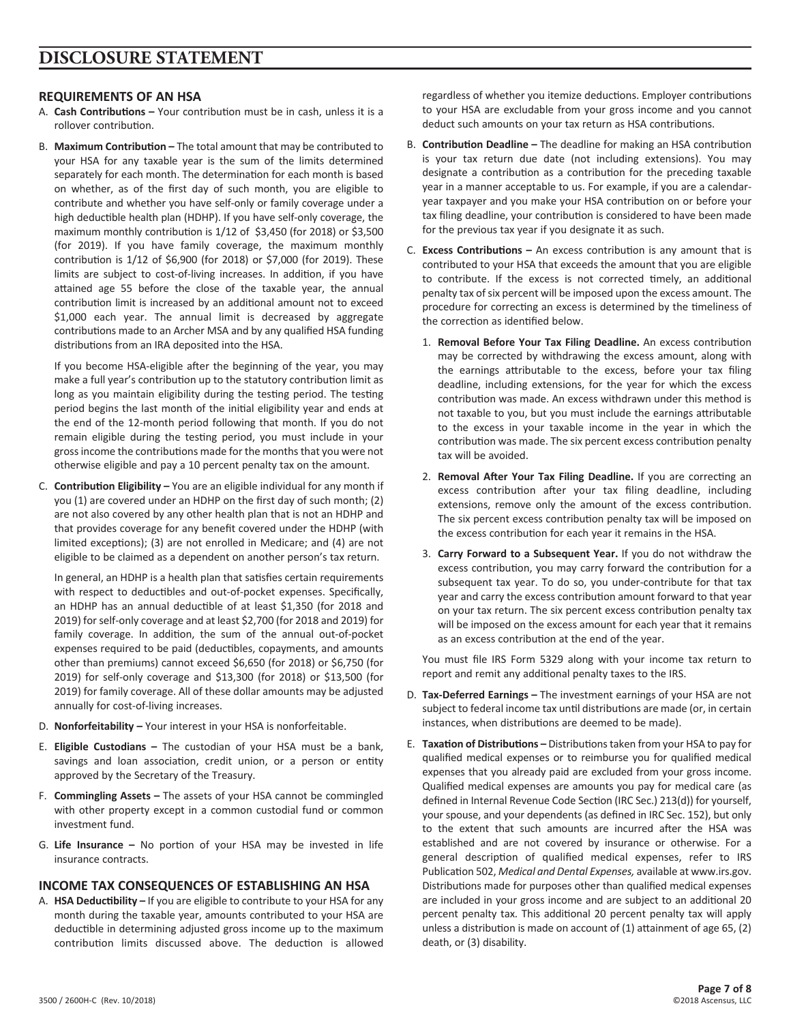### **REQUIREMENTS OF AN HSA**

- A. **Cash Contributions –** Your contribution must be in cash, unless it is a rollover contribution.
- B. **Maximum Contribution –** The total amount that may be contributed to your HSA for any taxable year is the sum of the limits determined separately for each month. The determination for each month is based on whether, as of the first day of such month, you are eligible to contribute and whether you have self-only or family coverage under a high deductible health plan (HDHP). If you have self-only coverage, the maximum monthly contribution is 1/12 of \$3,450 (for 2018) or \$3,500 (for 2019). If you have family coverage, the maximum monthly contribution is 1/12 of \$6,900 (for 2018) or \$7,000 (for 2019). These limits are subject to cost-of-living increases. In addition, if you have attained age 55 before the close of the taxable year, the annual contribution limit is increased by an additional amount not to exceed \$1,000 each year. The annual limit is decreased by aggregate contributions made to an Archer MSA and by any qualified HSA funding distributions from an IRA deposited into the HSA.

If you become HSA-eligible after the beginning of the year, you may make a full year's contribution up to the statutory contribution limit as long as you maintain eligibility during the testing period. The testing period begins the last month of the initial eligibility year and ends at the end of the 12-month period following that month. If you do not remain eligible during the testing period, you must include in your gross income the contributions made for the months that you were not otherwise eligible and pay a 10 percent penalty tax on the amount.

C. **Contribution Eligibility –** You are an eligible individual for any month if you (1) are covered under an HDHP on the first day of such month; (2) are not also covered by any other health plan that is not an HDHP and that provides coverage for any benefit covered under the HDHP (with limited exceptions); (3) are not enrolled in Medicare; and (4) are not eligible to be claimed as a dependent on another person's tax return.

In general, an HDHP is a health plan that satisfies certain requirements with respect to deductibles and out-of-pocket expenses. Specifically, an HDHP has an annual deductible of at least \$1,350 (for 2018 and 2019) for self-only coverage and at least \$2,700 (for 2018 and 2019) for family coverage. In addition, the sum of the annual out-of-pocket expenses required to be paid (deductibles, copayments, and amounts other than premiums) cannot exceed \$6,650 (for 2018) or \$6,750 (for 2019) for self-only coverage and \$13,300 (for 2018) or \$13,500 (for 2019) for family coverage. All of these dollar amounts may be adjusted annually for cost-of-living increases.

- D. **Nonforfeitability –** Your interest in your HSA is nonforfeitable.
- E. **Eligible Custodians –** The custodian of your HSA must be a bank, savings and loan association, credit union, or a person or entity approved by the Secretary of the Treasury.
- F. **Commingling Assets –** The assets of your HSA cannot be commingled with other property except in a common custodial fund or common investment fund.
- G. **Life Insurance –** No portion of your HSA may be invested in life insurance contracts.

## **INCOME TAX CONSEQUENCES OF ESTABLISHING AN HSA**

A. **HSA Deductibility –** If you are eligible to contribute to your HSA for any month during the taxable year, amounts contributed to your HSA are deductible in determining adjusted gross income up to the maximum contribution limits discussed above. The deduction is allowed

regardless of whether you itemize deductions. Employer contributions to your HSA are excludable from your gross income and you cannot deduct such amounts on your tax return as HSA contributions.

- B. **Contribution Deadline –** The deadline for making an HSA contribution is your tax return due date (not including extensions). You may designate a contribution as a contribution for the preceding taxable year in a manner acceptable to us. For example, if you are a calendaryear taxpayer and you make your HSA contribution on or before your tax filing deadline, your contribution is considered to have been made for the previous tax year if you designate it as such.
- C. **Excess Contributions –** An excess contribution is any amount that is contributed to your HSA that exceeds the amount that you are eligible to contribute. If the excess is not corrected timely, an additional penalty tax of six percent will be imposed upon the excess amount. The procedure for correcting an excess is determined by the timeliness of the correction as identified below.
	- 1. **Removal Before Your Tax Filing Deadline.** An excess contribution may be corrected by withdrawing the excess amount, along with the earnings attributable to the excess, before your tax filing deadline, including extensions, for the year for which the excess contribution was made. An excess withdrawn under this method is not taxable to you, but you must include the earnings attributable to the excess in your taxable income in the year in which the contribution was made. The six percent excess contribution penalty tax will be avoided.
	- 2. **Removal After Your Tax Filing Deadline.** If you are correcting an excess contribution after your tax filing deadline, including extensions, remove only the amount of the excess contribution. The six percent excess contribution penalty tax will be imposed on the excess contribution for each year it remains in the HSA.
	- 3. **Carry Forward to a Subsequent Year.** If you do not withdraw the excess contribution, you may carry forward the contribution for a subsequent tax year. To do so, you under-contribute for that tax year and carry the excess contribution amount forward to that year on your tax return. The six percent excess contribution penalty tax will be imposed on the excess amount for each year that it remains as an excess contribution at the end of the year.

You must file IRS Form 5329 along with your income tax return to report and remit any additional penalty taxes to the IRS.

- D. **Tax-Deferred Earnings –** The investment earnings of your HSA are not subject to federal income tax until distributions are made (or, in certain instances, when distributions are deemed to be made).
- E. **Taxation of Distributions –** Distributions taken from your HSA to pay for qualified medical expenses or to reimburse you for qualified medical expenses that you already paid are excluded from your gross income. Qualified medical expenses are amounts you pay for medical care (as defined in Internal Revenue Code Section (IRC Sec.) 213(d)) for yourself, your spouse, and your dependents (as defined in IRC Sec. 152), but only to the extent that such amounts are incurred after the HSA was established and are not covered by insurance or otherwise. For a general description of qualified medical expenses, refer to IRS Publication 502, *Medical and Dental Expenses,* available at www.irs.gov. Distributions made for purposes other than qualified medical expenses are included in your gross income and are subject to an additional 20 percent penalty tax. This additional 20 percent penalty tax will apply unless a distribution is made on account of (1) attainment of age 65, (2) death, or (3) disability.